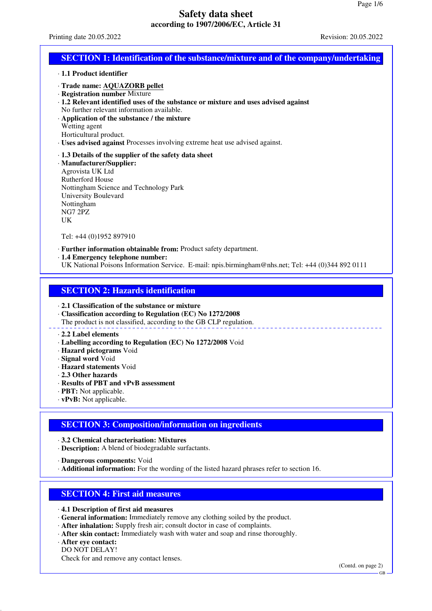Printing date 20.05.2022 Revision: 20.05.2022

# **SECTION 1: Identification of the substance/mixture and of the company/undertaking**

- · **1.1 Product identifier**
- · **Trade name: AQUAZORB pellet**
- · **Registration number** Mixture
- · **1.2 Relevant identified uses of the substance or mixture and uses advised against** No further relevant information available.
- · **Application of the substance / the mixture**
- Wetting agent
- Horticultural product.
- · **Uses advised against** Processes involving extreme heat use advised against.
- · **1.3 Details of the supplier of the safety data sheet**
- · **Manufacturer/Supplier:** Agrovista UK Ltd Rutherford House Nottingham Science and Technology Park University Boulevard Nottingham NG7 2PZ UK

Tel: +44 (0)1952 897910

- · **Further information obtainable from:** Product safety department.
- · **1.4 Emergency telephone number:**
- UK National Poisons Information Service. E-mail: npis.birmingham@nhs.net; Tel: +44 (0)344 892 0111

## **SECTION 2: Hazards identification**

### · **2.1 Classification of the substance or mixture**

· **Classification according to Regulation (EC) No 1272/2008**

The product is not classified, according to the GB CLP regulation.

#### · **2.2 Label elements**

- · **Labelling according to Regulation (EC) No 1272/2008** Void
- · **Hazard pictograms** Void
- · **Signal word** Void
- · **Hazard statements** Void
- · **2.3 Other hazards**
- · **Results of PBT and vPvB assessment**
- · **PBT:** Not applicable.
- · **vPvB:** Not applicable.

## **SECTION 3: Composition/information on ingredients**

· **3.2 Chemical characterisation: Mixtures**

· **Description:** A blend of biodegradable surfactants.

· **Dangerous components:** Void

· **Additional information:** For the wording of the listed hazard phrases refer to section 16.

## **SECTION 4: First aid measures**

- · **4.1 Description of first aid measures**
- · **General information:** Immediately remove any clothing soiled by the product.
- · **After inhalation:** Supply fresh air; consult doctor in case of complaints.
- · **After skin contact:** Immediately wash with water and soap and rinse thoroughly.

### · **After eye contact:**

DO NOT DELAY! Check for and remove any contact lenses.

(Contd. on page 2)

GB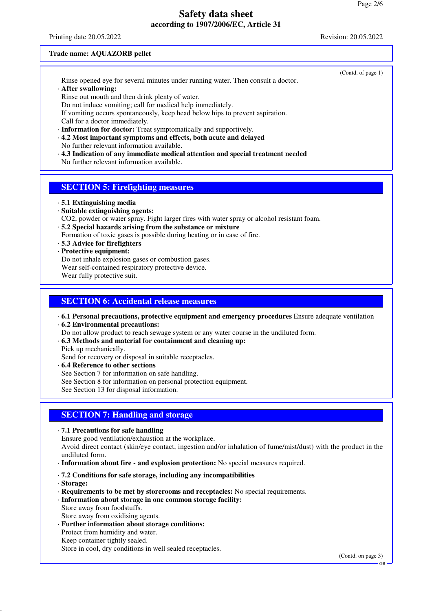Printing date 20.05.2022 Revision: 20.05.2022

(Contd. of page 1)

### **Trade name: AQUAZORB pellet**

Rinse opened eye for several minutes under running water. Then consult a doctor. · **After swallowing:**

Rinse out mouth and then drink plenty of water.

Do not induce vomiting; call for medical help immediately.

If vomiting occurs spontaneously, keep head below hips to prevent aspiration. Call for a doctor immediately.

· **Information for doctor:** Treat symptomatically and supportively.

· **4.2 Most important symptoms and effects, both acute and delayed**

No further relevant information available.

· **4.3 Indication of any immediate medical attention and special treatment needed**

No further relevant information available.

# **SECTION 5: Firefighting measures**

· **5.1 Extinguishing media**

- · **Suitable extinguishing agents:**
- CO2, powder or water spray. Fight larger fires with water spray or alcohol resistant foam.
- · **5.2 Special hazards arising from the substance or mixture**
- Formation of toxic gases is possible during heating or in case of fire.
- · **5.3 Advice for firefighters**
- · **Protective equipment:**

Do not inhale explosion gases or combustion gases.

Wear self-contained respiratory protective device.

Wear fully protective suit.

# **SECTION 6: Accidental release measures**

· **6.1 Personal precautions, protective equipment and emergency procedures** Ensure adequate ventilation · **6.2 Environmental precautions:**

Do not allow product to reach sewage system or any water course in the undiluted form.

· **6.3 Methods and material for containment and cleaning up:**

Pick up mechanically.

Send for recovery or disposal in suitable receptacles.

· **6.4 Reference to other sections**

See Section 7 for information on safe handling.

See Section 8 for information on personal protection equipment.

See Section 13 for disposal information.

# **SECTION 7: Handling and storage**

· **7.1 Precautions for safe handling**

Ensure good ventilation/exhaustion at the workplace.

Avoid direct contact (skin/eye contact, ingestion and/or inhalation of fume/mist/dust) with the product in the undiluted form.

· **Information about fire - and explosion protection:** No special measures required.

· **7.2 Conditions for safe storage, including any incompatibilities**

- · **Storage:**
- · **Requirements to be met by storerooms and receptacles:** No special requirements.
- · **Information about storage in one common storage facility:** Store away from foodstuffs. Store away from oxidising agents.
- · **Further information about storage conditions:** Protect from humidity and water. Keep container tightly sealed. Store in cool, dry conditions in well sealed receptacles.

(Contd. on page 3)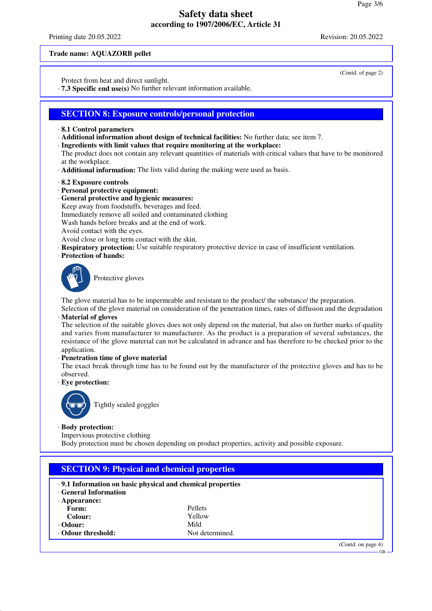Printing date 20.05.2022 Revision: 20.05.2022

(Contd. of page 2)

### **Trade name: AQUAZORB pellet**

Protect from heat and direct sunlight.

· **7.3 Specific end use(s)** No further relevant information available.

## **SECTION 8: Exposure controls/personal protection**

- · **8.1 Control parameters**
- · **Additional information about design of technical facilities:** No further data; see item 7.
- · **Ingredients with limit values that require monitoring at the workplace:**
- The product does not contain any relevant quantities of materials with critical values that have to be monitored at the workplace.
- · **Additional information:** The lists valid during the making were used as basis.
- · **8.2 Exposure controls**
- · **Personal protective equipment:**
- · **General protective and hygienic measures:**
- Keep away from foodstuffs, beverages and feed.
- Immediately remove all soiled and contaminated clothing

Wash hands before breaks and at the end of work.

- Avoid contact with the eyes.
- Avoid close or long term contact with the skin.
- · **Respiratory protection:** Use suitable respiratory protective device in case of insufficient ventilation.
- · **Protection of hands:**



Protective gloves

The glove material has to be impermeable and resistant to the product/ the substance/ the preparation.

Selection of the glove material on consideration of the penetration times, rates of diffusion and the degradation · **Material of gloves**

The selection of the suitable gloves does not only depend on the material, but also on further marks of quality and varies from manufacturer to manufacturer. As the product is a preparation of several substances, the resistance of the glove material can not be calculated in advance and has therefore to be checked prior to the application.

#### · **Penetration time of glove material**

The exact break through time has to be found out by the manufacturer of the protective gloves and has to be observed.

· **Eye protection:**



Tightly sealed goggles

#### · **Body protection:**

Impervious protective clothing

Body protection must be chosen depending on product properties, activity and possible exposure.

| .9.1 Information on basic physical and chemical properties<br><b>General Information</b> |                 |  |  |
|------------------------------------------------------------------------------------------|-----------------|--|--|
| $\cdot$ Appearance:                                                                      |                 |  |  |
| Form:                                                                                    | <b>Pellets</b>  |  |  |
| Colour:                                                                                  | Yellow          |  |  |
| $\cdot$ Odour:                                                                           | Mild            |  |  |
| <b>Odour threshold:</b>                                                                  | Not determined. |  |  |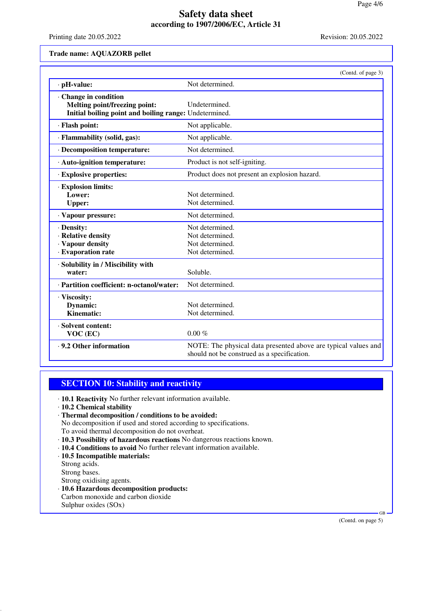Printing date 20.05.2022 Revision: 20.05.2022

### **Trade name: AQUAZORB pellet**

|                                                                                                                | (Contd. of page 3)                                                                                            |
|----------------------------------------------------------------------------------------------------------------|---------------------------------------------------------------------------------------------------------------|
| · pH-value:                                                                                                    | Not determined.                                                                                               |
| Change in condition<br>Melting point/freezing point:<br>Initial boiling point and boiling range: Undetermined. | Undetermined.                                                                                                 |
| · Flash point:                                                                                                 | Not applicable.                                                                                               |
| · Flammability (solid, gas):                                                                                   | Not applicable.                                                                                               |
| · Decomposition temperature:                                                                                   | Not determined.                                                                                               |
| · Auto-ignition temperature:                                                                                   | Product is not self-igniting.                                                                                 |
| <b>Explosive properties:</b>                                                                                   | Product does not present an explosion hazard.                                                                 |
| · Explosion limits:<br>Lower:<br><b>Upper:</b>                                                                 | Not determined.<br>Not determined.                                                                            |
| · Vapour pressure:                                                                                             | Not determined.                                                                                               |
| · Density:<br>· Relative density<br>· Vapour density<br>· Evaporation rate                                     | Not determined.<br>Not determined.<br>Not determined.<br>Not determined.                                      |
| · Solubility in / Miscibility with<br>water:                                                                   | Soluble.                                                                                                      |
| · Partition coefficient: n-octanol/water:                                                                      | Not determined.                                                                                               |
| · Viscosity:<br>Dynamic:<br>Kinematic:                                                                         | Not determined.<br>Not determined.                                                                            |
| · Solvent content:<br>VOC (EC)                                                                                 | $0.00\%$                                                                                                      |
| ⋅ 9.2 Other information                                                                                        | NOTE: The physical data presented above are typical values and<br>should not be construed as a specification. |

## **SECTION 10: Stability and reactivity**

- · **10.1 Reactivity** No further relevant information available.
- · **10.2 Chemical stability**
- · **Thermal decomposition / conditions to be avoided:**
- No decomposition if used and stored according to specifications.
- To avoid thermal decomposition do not overheat.
- · **10.3 Possibility of hazardous reactions** No dangerous reactions known.
- · **10.4 Conditions to avoid** No further relevant information available.
- · **10.5 Incompatible materials:**
- Strong acids.
- Strong bases.

Strong oxidising agents.

- · **10.6 Hazardous decomposition products:** Carbon monoxide and carbon dioxide
- Sulphur oxides (SOx)

(Contd. on page 5)

GB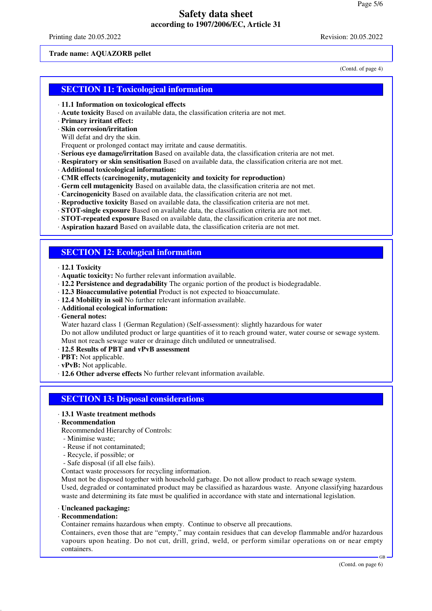Printing date 20.05.2022 Revision: 20.05.2022

### **Trade name: AQUAZORB pellet**

(Contd. of page 4)

# **SECTION 11: Toxicological information**

- · **11.1 Information on toxicological effects**
- · **Acute toxicity** Based on available data, the classification criteria are not met.
- · **Primary irritant effect:**
- · **Skin corrosion/irritation**

Will defat and dry the skin.

Frequent or prolonged contact may irritate and cause dermatitis.

- · **Serious eye damage/irritation** Based on available data, the classification criteria are not met.
- · **Respiratory or skin sensitisation** Based on available data, the classification criteria are not met.
- · **Additional toxicological information:**
- · **CMR effects (carcinogenity, mutagenicity and toxicity for reproduction)**
- · **Germ cell mutagenicity** Based on available data, the classification criteria are not met.
- · **Carcinogenicity** Based on available data, the classification criteria are not met.
- · **Reproductive toxicity** Based on available data, the classification criteria are not met.
- · **STOT-single exposure** Based on available data, the classification criteria are not met.
- · **STOT-repeated exposure** Based on available data, the classification criteria are not met.
- · **Aspiration hazard** Based on available data, the classification criteria are not met.

## **SECTION 12: Ecological information**

- · **12.1 Toxicity**
- · **Aquatic toxicity:** No further relevant information available.
- · **12.2 Persistence and degradability** The organic portion of the product is biodegradable.
- · **12.3 Bioaccumulative potential** Product is not expected to bioaccumulate.
- · **12.4 Mobility in soil** No further relevant information available.
- · **Additional ecological information:**
- · **General notes:**

Water hazard class 1 (German Regulation) (Self-assessment): slightly hazardous for water

Do not allow undiluted product or large quantities of it to reach ground water, water course or sewage system. Must not reach sewage water or drainage ditch undiluted or unneutralised.

- · **12.5 Results of PBT and vPvB assessment**
- · **PBT:** Not applicable.
- · **vPvB:** Not applicable.
- · **12.6 Other adverse effects** No further relevant information available.

### **SECTION 13: Disposal considerations**

## · **13.1 Waste treatment methods**

### · **Recommendation**

Recommended Hierarchy of Controls:

- Minimise waste;
- Reuse if not contaminated;
- Recycle, if possible; or
- Safe disposal (if all else fails).
- Contact waste processors for recycling information.

Must not be disposed together with household garbage. Do not allow product to reach sewage system. Used, degraded or contaminated product may be classified as hazardous waste. Anyone classifying hazardous waste and determining its fate must be qualified in accordance with state and international legislation.

#### · **Uncleaned packaging:**

· **Recommendation:**

Container remains hazardous when empty. Continue to observe all precautions.

Containers, even those that are "empty," may contain residues that can develop flammable and/or hazardous vapours upon heating. Do not cut, drill, grind, weld, or perform similar operations on or near empty containers.

GB